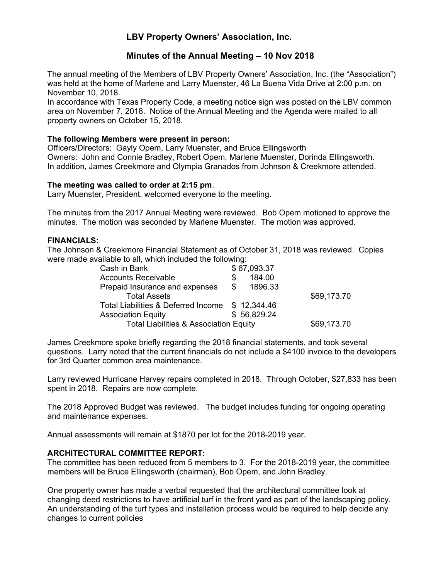# **LBV Property Owners' Association, Inc.**

# **Minutes of the Annual Meeting – 10 Nov 2018**

The annual meeting of the Members of LBV Property Owners' Association, Inc. (the "Association") was held at the home of Marlene and Larry Muenster, 46 La Buena Vida Drive at 2:00 p.m. on November 10, 2018.

In accordance with Texas Property Code, a meeting notice sign was posted on the LBV common area on November 7, 2018. Notice of the Annual Meeting and the Agenda were mailed to all property owners on October 15, 2018.

## **The following Members were present in person:**

Officers/Directors: Gayly Opem, Larry Muenster, and Bruce Ellingsworth Owners: John and Connie Bradley, Robert Opem, Marlene Muenster, Dorinda Ellingsworth. In addition, James Creekmore and Olympia Granados from Johnson & Creekmore attended.

**The meeting was called to order at 2:15 pm**. Larry Muenster, President, welcomed everyone to the meeting.

The minutes from the 2017 Annual Meeting were reviewed. Bob Opem motioned to approve the minutes. The motion was seconded by Marlene Muenster. The motion was approved.

## **FINANCIALS:**

The Johnson & Creekmore Financial Statement as of October 31, 2018 was reviewed. Copies were made available to all, which included the following:

| Cash in Bank                                      | \$67,093.37   |             |
|---------------------------------------------------|---------------|-------------|
| <b>Accounts Receivable</b>                        | 184.00<br>S   |             |
| Prepaid Insurance and expenses                    | \$<br>1896.33 |             |
| Total Assets                                      |               | \$69,173.70 |
| Total Liabilities & Deferred Income \$12,344.46   |               |             |
| <b>Association Equity</b>                         | \$56,829,24   |             |
| <b>Total Liabilities &amp; Association Equity</b> |               | \$69,173.70 |

James Creekmore spoke briefly regarding the 2018 financial statements, and took several questions. Larry noted that the current financials do not include a \$4100 invoice to the developers for 3rd Quarter common area maintenance.

Larry reviewed Hurricane Harvey repairs completed in 2018. Through October, \$27,833 has been spent in 2018. Repairs are now complete.

The 2018 Approved Budget was reviewed. The budget includes funding for ongoing operating and maintenance expenses.

Annual assessments will remain at \$1870 per lot for the 2018-2019 year.

## **ARCHITECTURAL COMMITTEE REPORT:**

The committee has been reduced from 5 members to 3. For the 2018-2019 year, the committee members will be Bruce Ellingsworth (chairman), Bob Opem, and John Bradley.

One property owner has made a verbal requested that the architectural committee look at changing deed restrictions to have artificial turf in the front yard as part of the landscaping policy. An understanding of the turf types and installation process would be required to help decide any changes to current policies